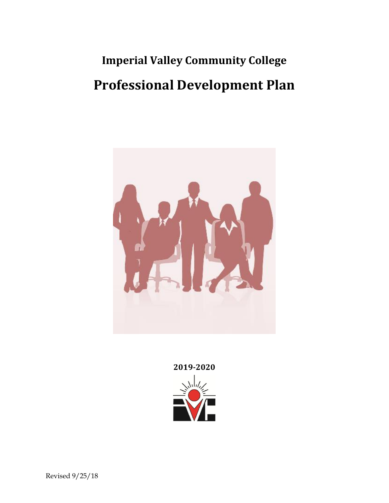# **Imperial Valley Community College Professional Development Plan**



**2019-2020**

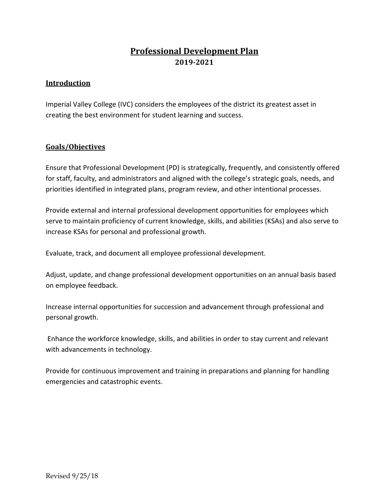# **Professional Development Plan 2019-2021**

# **Introduction**

Imperial Valley College (IVC) considers the employees of the district its greatest asset in creating the best environment for student learning and success.

# **Goals/Objectives**

Ensure that Professional Development (PD) is strategically, frequently, and consistently offered for staff, faculty, and administrators and aligned with the college's strategic goals, needs, and priorities identified in integrated plans, program review, and other intentional processes.

Provide external and internal professional development opportunities for employees which serve to maintain proficiency of current knowledge, skills, and abilities (KSAs) and also serve to increase KSAs for personal and professional growth.

Evaluate, track, and document all employee professional development.

Adjust, update, and change professional development opportunities on an annual basis based on employee feedback.

Increase internal opportunities for succession and advancement through professional and personal growth.

Enhance the workforce knowledge, skills, and abilities in order to stay current and relevant with advancements in technology.

Provide for continuous improvement and training in preparations and planning for handling emergencies and catastrophic events.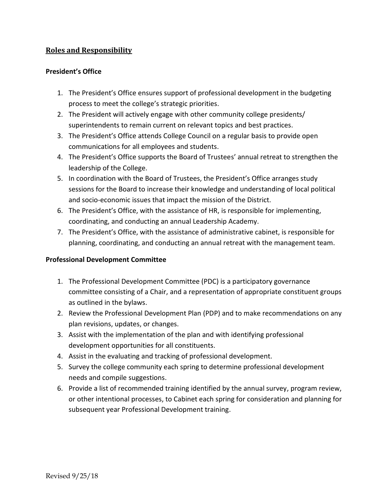# **Roles and Responsibility**

# **President's Office**

- 1. The President's Office ensures support of professional development in the budgeting process to meet the college's strategic priorities.
- 2. The President will actively engage with other community college presidents/ superintendents to remain current on relevant topics and best practices.
- 3. The President's Office attends College Council on a regular basis to provide open communications for all employees and students.
- 4. The President's Office supports the Board of Trustees' annual retreat to strengthen the leadership of the College.
- 5. In coordination with the Board of Trustees, the President's Office arranges study sessions for the Board to increase their knowledge and understanding of local political and socio-economic issues that impact the mission of the District.
- 6. The President's Office, with the assistance of HR, is responsible for implementing, coordinating, and conducting an annual Leadership Academy.
- 7. The President's Office, with the assistance of administrative cabinet, is responsible for planning, coordinating, and conducting an annual retreat with the management team.

#### **Professional Development Committee**

- 1. The Professional Development Committee (PDC) is a participatory governance committee consisting of a Chair, and a representation of appropriate constituent groups as outlined in the bylaws.
- 2. Review the Professional Development Plan (PDP) and to make recommendations on any plan revisions, updates, or changes.
- 3. Assist with the implementation of the plan and with identifying professional development opportunities for all constituents.
- 4. Assist in the evaluating and tracking of professional development.
- 5. Survey the college community each spring to determine professional development needs and compile suggestions.
- 6. Provide a list of recommended training identified by the annual survey, program review, or other intentional processes, to Cabinet each spring for consideration and planning for subsequent year Professional Development training.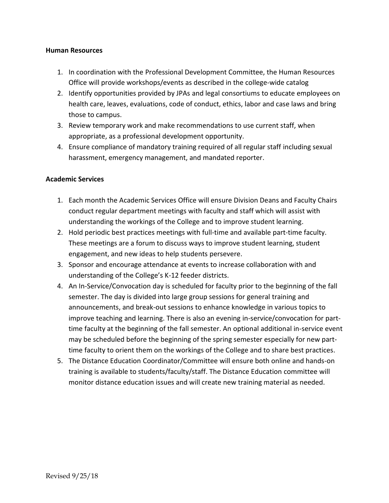#### **Human Resources**

- 1. In coordination with the Professional Development Committee, the Human Resources Office will provide workshops/events as described in the college-wide catalog
- 2. Identify opportunities provided by JPAs and legal consortiums to educate employees on health care, leaves, evaluations, code of conduct, ethics, labor and case laws and bring those to campus.
- 3. Review temporary work and make recommendations to use current staff, when appropriate, as a professional development opportunity.
- 4. Ensure compliance of mandatory training required of all regular staff including sexual harassment, emergency management, and mandated reporter.

#### **Academic Services**

- 1. Each month the Academic Services Office will ensure Division Deans and Faculty Chairs conduct regular department meetings with faculty and staff which will assist with understanding the workings of the College and to improve student learning.
- 2. Hold periodic best practices meetings with full-time and available part-time faculty. These meetings are a forum to discuss ways to improve student learning, student engagement, and new ideas to help students persevere.
- 3. Sponsor and encourage attendance at events to increase collaboration with and understanding of the College's K-12 feeder districts.
- 4. An In-Service/Convocation day is scheduled for faculty prior to the beginning of the fall semester. The day is divided into large group sessions for general training and announcements, and break-out sessions to enhance knowledge in various topics to improve teaching and learning. There is also an evening in-service/convocation for parttime faculty at the beginning of the fall semester. An optional additional in-service event may be scheduled before the beginning of the spring semester especially for new parttime faculty to orient them on the workings of the College and to share best practices.
- 5. The Distance Education Coordinator/Committee will ensure both online and hands-on training is available to students/faculty/staff. The Distance Education committee will monitor distance education issues and will create new training material as needed.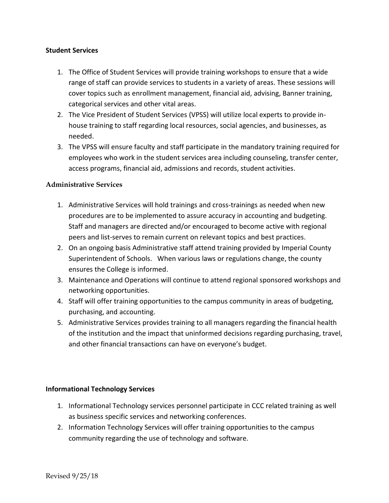#### **Student Services**

- 1. The Office of Student Services will provide training workshops to ensure that a wide range of staff can provide services to students in a variety of areas. These sessions will cover topics such as enrollment management, financial aid, advising, Banner training, categorical services and other vital areas.
- 2. The Vice President of Student Services (VPSS) will utilize local experts to provide inhouse training to staff regarding local resources, social agencies, and businesses, as needed.
- 3. The VPSS will ensure faculty and staff participate in the mandatory training required for employees who work in the student services area including counseling, transfer center, access programs, financial aid, admissions and records, student activities.

# **Administrative Services**

- 1. Administrative Services will hold trainings and cross-trainings as needed when new procedures are to be implemented to assure accuracy in accounting and budgeting. Staff and managers are directed and/or encouraged to become active with regional peers and list-serves to remain current on relevant topics and best practices.
- 2. On an ongoing basis Administrative staff attend training provided by Imperial County Superintendent of Schools. When various laws or regulations change, the county ensures the College is informed.
- 3. Maintenance and Operations will continue to attend regional sponsored workshops and networking opportunities.
- 4. Staff will offer training opportunities to the campus community in areas of budgeting, purchasing, and accounting.
- 5. Administrative Services provides training to all managers regarding the financial health of the institution and the impact that uninformed decisions regarding purchasing, travel, and other financial transactions can have on everyone's budget.

#### **Informational Technology Services**

- 1. Informational Technology services personnel participate in CCC related training as well as business specific services and networking conferences.
- 2. Information Technology Services will offer training opportunities to the campus community regarding the use of technology and software.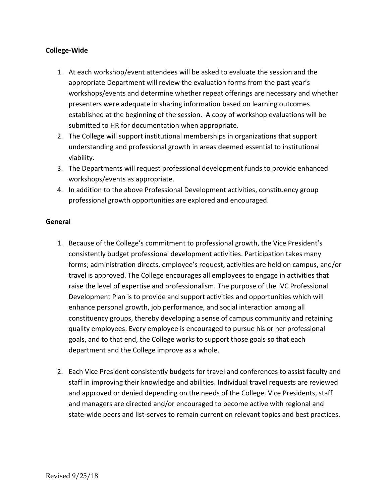#### **College-Wide**

- 1. At each workshop/event attendees will be asked to evaluate the session and the appropriate Department will review the evaluation forms from the past year's workshops/events and determine whether repeat offerings are necessary and whether presenters were adequate in sharing information based on learning outcomes established at the beginning of the session. A copy of workshop evaluations will be submitted to HR for documentation when appropriate.
- 2. The College will support institutional memberships in organizations that support understanding and professional growth in areas deemed essential to institutional viability.
- 3. The Departments will request professional development funds to provide enhanced workshops/events as appropriate.
- 4. In addition to the above Professional Development activities, constituency group professional growth opportunities are explored and encouraged.

#### **General**

- 1. Because of the College's commitment to professional growth, the Vice President's consistently budget professional development activities. Participation takes many forms; administration directs, employee's request, activities are held on campus, and/or travel is approved. The College encourages all employees to engage in activities that raise the level of expertise and professionalism. The purpose of the IVC Professional Development Plan is to provide and support activities and opportunities which will enhance personal growth, job performance, and social interaction among all constituency groups, thereby developing a sense of campus community and retaining quality employees. Every employee is encouraged to pursue his or her professional goals, and to that end, the College works to support those goals so that each department and the College improve as a whole.
- 2. Each Vice President consistently budgets for travel and conferences to assist faculty and staff in improving their knowledge and abilities. Individual travel requests are reviewed and approved or denied depending on the needs of the College. Vice Presidents, staff and managers are directed and/or encouraged to become active with regional and state-wide peers and list-serves to remain current on relevant topics and best practices.